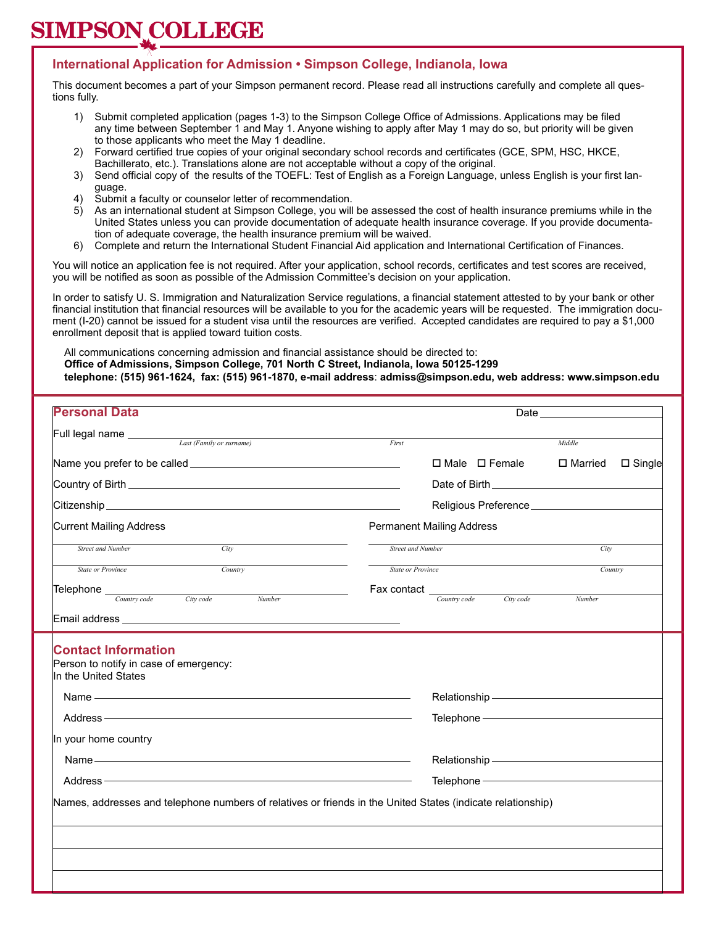#### **International Application for Admission • Simpson College, Indianola, Iowa**

This document becomes a part of your Simpson permanent record. Please read all instructions carefully and complete all questions fully.

- 1) Submit completed application (pages 1-3) to the Simpson College Office of Admissions. Applications may be filed any time between September 1 and May 1. Anyone wishing to apply after May 1 may do so, but priority will be given to those applicants who meet the May 1 deadline.
- 2) Forward certified true copies of your original secondary school records and certificates (GCE, SPM, HSC, HKCE, Bachillerato, etc.). Translations alone are not acceptable without a copy of the original.
- 3) Send official copy of the results of the TOEFL: Test of English as a Foreign Language, unless English is your first language.
- 4) Submit a faculty or counselor letter of recommendation.
- 5) As an international student at Simpson College, you will be assessed the cost of health insurance premiums while in the United States unless you can provide documentation of adequate health insurance coverage. If you provide documentation of adequate coverage, the health insurance premium will be waived.
- 6) Complete and return the International Student Financial Aid application and International Certification of Finances.

You will notice an application fee is not required. After your application, school records, certificates and test scores are received, you will be notified as soon as possible of the Admission Committee's decision on your application.

In order to satisfy U. S. Immigration and Naturalization Service regulations, a financial statement attested to by your bank or other financial institution that financial resources will be available to you for the academic years will be requested. The immigration document (I-20) cannot be issued for a student visa until the resources are verified. Accepted candidates are required to pay a \$1,000 enrollment deposit that is applied toward tuition costs.

 All communications concerning admission and financial assistance should be directed to:  **Office of Admissions, Simpson College, 701 North C Street, Indianola, Iowa 50125-1299 telephone: (515) 961-1624, fax: (515) 961-1870, e-mail address**: **admiss@simpson.edu, web address: www.simpson.edu**

| <b>Personal Data</b>                                                                                                                                                                                                                                                                                                                                                                                                                                                                                   |                          | Date                                                                                                                                                                                                                           |           |                |                  |
|--------------------------------------------------------------------------------------------------------------------------------------------------------------------------------------------------------------------------------------------------------------------------------------------------------------------------------------------------------------------------------------------------------------------------------------------------------------------------------------------------------|--------------------------|--------------------------------------------------------------------------------------------------------------------------------------------------------------------------------------------------------------------------------|-----------|----------------|------------------|
| Full legal name <i>Last (Family or surname)</i>                                                                                                                                                                                                                                                                                                                                                                                                                                                        | First                    |                                                                                                                                                                                                                                |           | Middle         |                  |
|                                                                                                                                                                                                                                                                                                                                                                                                                                                                                                        |                          | $\Box$ Male $\Box$ Female                                                                                                                                                                                                      |           | $\Box$ Married | $\square$ Single |
|                                                                                                                                                                                                                                                                                                                                                                                                                                                                                                        |                          |                                                                                                                                                                                                                                |           |                |                  |
|                                                                                                                                                                                                                                                                                                                                                                                                                                                                                                        |                          |                                                                                                                                                                                                                                |           |                |                  |
|                                                                                                                                                                                                                                                                                                                                                                                                                                                                                                        |                          |                                                                                                                                                                                                                                |           |                |                  |
| Current Mailing Address                                                                                                                                                                                                                                                                                                                                                                                                                                                                                |                          | <b>Permanent Mailing Address</b>                                                                                                                                                                                               |           |                |                  |
| <b>Street and Number</b><br>City                                                                                                                                                                                                                                                                                                                                                                                                                                                                       | <b>Street and Number</b> |                                                                                                                                                                                                                                |           | City           |                  |
| Country<br><b>State or Province</b>                                                                                                                                                                                                                                                                                                                                                                                                                                                                    | <b>State or Province</b> |                                                                                                                                                                                                                                |           | Country        |                  |
| $\boxed{\text{Telephone}} \quad \text{Country code} \quad \text{City code} \quad N \quad \text{Cyl} \quad \text{Cyl} \quad \text{Cyl} \quad \text{Cyl} \quad \text{Cyl} \quad \text{Cyl} \quad \text{Cyl} \quad \text{Cyl} \quad \text{Cyl} \quad \text{Cyl} \quad \text{Cyl} \quad \text{Cyl} \quad \text{Cyl} \quad \text{Cyl} \quad \text{Cyl} \quad \text{Cyl} \quad \text{Cyl} \quad \text{Cyl} \quad \text{Cyl} \quad \text{Cyl} \quad \text{Cyl} \quad \text{Cyl} \quad \text{Cyl} \quad \text$ | Fax contact _            | Country code                                                                                                                                                                                                                   | City code |                |                  |
| Number                                                                                                                                                                                                                                                                                                                                                                                                                                                                                                 |                          |                                                                                                                                                                                                                                |           | Number         |                  |
|                                                                                                                                                                                                                                                                                                                                                                                                                                                                                                        |                          |                                                                                                                                                                                                                                |           |                |                  |
| <b>Contact Information</b><br>Person to notify in case of emergency:<br>In the United States                                                                                                                                                                                                                                                                                                                                                                                                           |                          |                                                                                                                                                                                                                                |           |                |                  |
| Name — <u>and the same and the same and the same and the same and the same and the same and the same and the same of the same and the same of the same of the same of the same of the same of the same of the same of the same o</u>                                                                                                                                                                                                                                                                   |                          |                                                                                                                                                                                                                                |           |                |                  |
|                                                                                                                                                                                                                                                                                                                                                                                                                                                                                                        |                          | Telephone - The Contract of the Contract of the Contract of the Contract of the Contract of the Contract of the Contract of the Contract of the Contract of the Contract of the Contract of the Contract of the Contract of th |           |                |                  |
| In your home country                                                                                                                                                                                                                                                                                                                                                                                                                                                                                   |                          |                                                                                                                                                                                                                                |           |                |                  |
|                                                                                                                                                                                                                                                                                                                                                                                                                                                                                                        |                          | Relationship - The Manuscript of the Manuscript of the Manuscript of the Manuscript of the Manuscript of the Ma                                                                                                                |           |                |                  |
| Address <b>Management Communities Address Management Communities</b>                                                                                                                                                                                                                                                                                                                                                                                                                                   |                          |                                                                                                                                                                                                                                |           |                |                  |
| Names, addresses and telephone numbers of relatives or friends in the United States (indicate relationship)                                                                                                                                                                                                                                                                                                                                                                                            |                          |                                                                                                                                                                                                                                |           |                |                  |
|                                                                                                                                                                                                                                                                                                                                                                                                                                                                                                        |                          |                                                                                                                                                                                                                                |           |                |                  |
|                                                                                                                                                                                                                                                                                                                                                                                                                                                                                                        |                          |                                                                                                                                                                                                                                |           |                |                  |
|                                                                                                                                                                                                                                                                                                                                                                                                                                                                                                        |                          |                                                                                                                                                                                                                                |           |                |                  |
|                                                                                                                                                                                                                                                                                                                                                                                                                                                                                                        |                          |                                                                                                                                                                                                                                |           |                |                  |
|                                                                                                                                                                                                                                                                                                                                                                                                                                                                                                        |                          |                                                                                                                                                                                                                                |           |                |                  |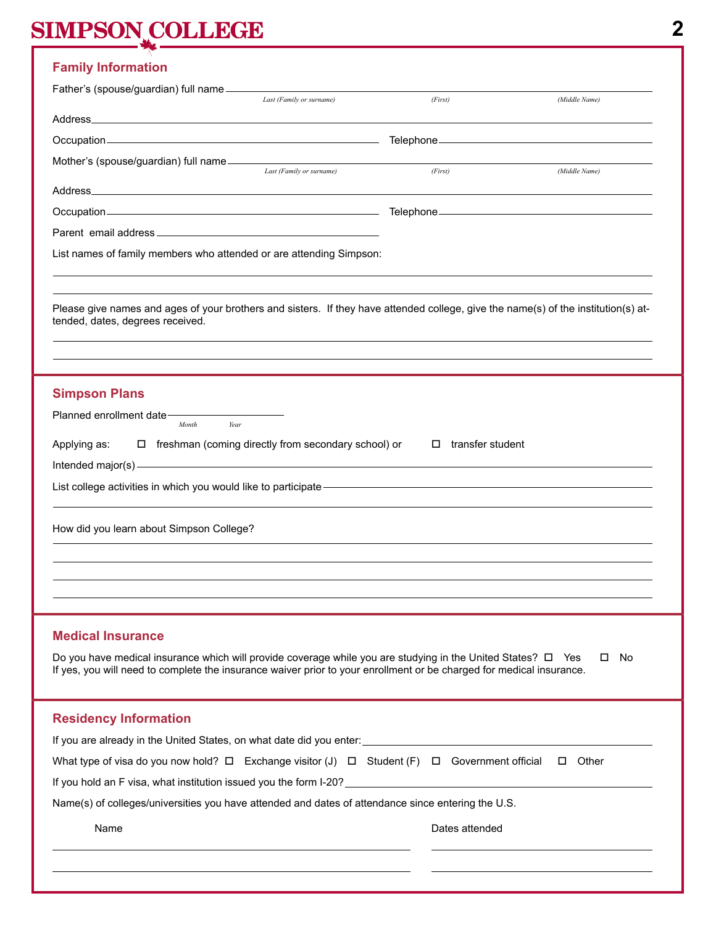| <b>Family Information</b>                                                                                                                                                                                                                 |                                                            |                            |               |
|-------------------------------------------------------------------------------------------------------------------------------------------------------------------------------------------------------------------------------------------|------------------------------------------------------------|----------------------------|---------------|
| Father's (spouse/guardian) full name ______                                                                                                                                                                                               |                                                            |                            |               |
|                                                                                                                                                                                                                                           | Last (Family or surname)                                   | (First)                    | (Middle Name) |
|                                                                                                                                                                                                                                           |                                                            |                            |               |
|                                                                                                                                                                                                                                           |                                                            |                            |               |
| Mother's (spouse/guardian) full name                                                                                                                                                                                                      | Last (Family or surname)                                   | (First)                    | (Middle Name) |
|                                                                                                                                                                                                                                           |                                                            |                            |               |
|                                                                                                                                                                                                                                           |                                                            |                            |               |
|                                                                                                                                                                                                                                           |                                                            |                            |               |
| List names of family members who attended or are attending Simpson:                                                                                                                                                                       |                                                            |                            |               |
| Please give names and ages of your brothers and sisters. If they have attended college, give the name(s) of the institution(s) at-<br>tended, dates, degrees received.                                                                    |                                                            |                            |               |
|                                                                                                                                                                                                                                           |                                                            |                            |               |
|                                                                                                                                                                                                                                           |                                                            |                            |               |
| <b>Simpson Plans</b>                                                                                                                                                                                                                      |                                                            |                            |               |
| Planned enrollment date-<br>Year<br>Month                                                                                                                                                                                                 |                                                            |                            |               |
| Applying as:                                                                                                                                                                                                                              | $\Box$ freshman (coming directly from secondary school) or | transfer student<br>$\Box$ |               |
|                                                                                                                                                                                                                                           |                                                            |                            |               |
| List college activities in which you would like to participate - The Collection Collective College activities in which you would like to participate - The Collection Collection Collection Collection Collection Collection C            |                                                            |                            |               |
| How did you learn about Simpson College?                                                                                                                                                                                                  |                                                            |                            |               |
|                                                                                                                                                                                                                                           |                                                            |                            |               |
|                                                                                                                                                                                                                                           |                                                            |                            |               |
| <b>Medical Insurance</b>                                                                                                                                                                                                                  |                                                            |                            |               |
|                                                                                                                                                                                                                                           |                                                            |                            |               |
| Do you have medical insurance which will provide coverage while you are studying in the United States? $\Box$ Yes<br>If yes, you will need to complete the insurance waiver prior to your enrollment or be charged for medical insurance. |                                                            |                            | No.<br>0      |
| <b>Residency Information</b>                                                                                                                                                                                                              |                                                            |                            |               |
|                                                                                                                                                                                                                                           |                                                            |                            |               |
| What type of visa do you now hold? $\square$ Exchange visitor (J) $\square$ Student (F) $\square$ Government official                                                                                                                     |                                                            |                            | $\Box$ Other  |
| If you hold an F visa, what institution issued you the form I-20? [14] The manuscription of the state of the state of the state of the state of the state of the state of the state of the state of the state of the state of             |                                                            |                            |               |
|                                                                                                                                                                                                                                           |                                                            |                            |               |

Name(s) of colleges/universities you have attended and dates of attendance since entering the U.S.

Name **Name Name** *Name Name Dates attended* 

**2**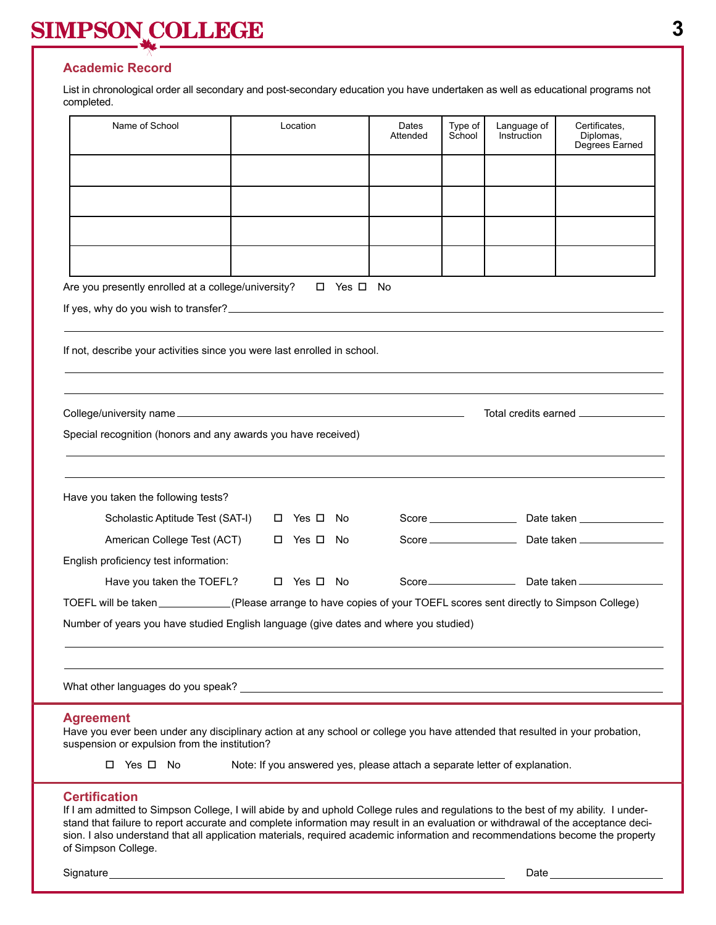### **Academic Record**

List in chronological order all secondary and post-secondary education you have undertaken as well as educational programs not completed.

| Name of School                                                                                                                                                                                                                                                                                                                                                                                                                                        | Location                                                                   | Dates<br>Attended | Type of<br>School | Language of<br>Instruction | Certificates,<br>Diplomas,<br>Degrees Earned |  |
|-------------------------------------------------------------------------------------------------------------------------------------------------------------------------------------------------------------------------------------------------------------------------------------------------------------------------------------------------------------------------------------------------------------------------------------------------------|----------------------------------------------------------------------------|-------------------|-------------------|----------------------------|----------------------------------------------|--|
|                                                                                                                                                                                                                                                                                                                                                                                                                                                       |                                                                            |                   |                   |                            |                                              |  |
|                                                                                                                                                                                                                                                                                                                                                                                                                                                       |                                                                            |                   |                   |                            |                                              |  |
|                                                                                                                                                                                                                                                                                                                                                                                                                                                       |                                                                            |                   |                   |                            |                                              |  |
| Are you presently enrolled at a college/university?                                                                                                                                                                                                                                                                                                                                                                                                   | □ Yes □ No                                                                 |                   |                   |                            |                                              |  |
|                                                                                                                                                                                                                                                                                                                                                                                                                                                       |                                                                            |                   |                   |                            |                                              |  |
| If not, describe your activities since you were last enrolled in school.                                                                                                                                                                                                                                                                                                                                                                              |                                                                            |                   |                   |                            |                                              |  |
|                                                                                                                                                                                                                                                                                                                                                                                                                                                       |                                                                            |                   |                   |                            | Total credits earned __________________      |  |
| Special recognition (honors and any awards you have received)                                                                                                                                                                                                                                                                                                                                                                                         |                                                                            |                   |                   |                            |                                              |  |
|                                                                                                                                                                                                                                                                                                                                                                                                                                                       |                                                                            |                   |                   |                            |                                              |  |
| Have you taken the following tests?<br>Scholastic Aptitude Test (SAT-I)                                                                                                                                                                                                                                                                                                                                                                               | □ Yes □ No                                                                 |                   |                   |                            |                                              |  |
| American College Test (ACT)                                                                                                                                                                                                                                                                                                                                                                                                                           | □ Yes □ No                                                                 |                   |                   |                            |                                              |  |
| English proficiency test information:                                                                                                                                                                                                                                                                                                                                                                                                                 |                                                                            |                   |                   |                            |                                              |  |
| Have you taken the TOEFL?                                                                                                                                                                                                                                                                                                                                                                                                                             | □ Yes □ No                                                                 |                   |                   |                            |                                              |  |
| TOEFL will be taken __________(Please arrange to have copies of your TOEFL scores sent directly to Simpson College)                                                                                                                                                                                                                                                                                                                                   |                                                                            |                   |                   |                            |                                              |  |
| Number of years you have studied English language (give dates and where you studied)                                                                                                                                                                                                                                                                                                                                                                  |                                                                            |                   |                   |                            |                                              |  |
|                                                                                                                                                                                                                                                                                                                                                                                                                                                       |                                                                            |                   |                   |                            |                                              |  |
| <b>Agreement</b><br>Have you ever been under any disciplinary action at any school or college you have attended that resulted in your probation,<br>suspension or expulsion from the institution?                                                                                                                                                                                                                                                     |                                                                            |                   |                   |                            |                                              |  |
| □ Yes □ No                                                                                                                                                                                                                                                                                                                                                                                                                                            | Note: If you answered yes, please attach a separate letter of explanation. |                   |                   |                            |                                              |  |
| <b>Certification</b><br>If I am admitted to Simpson College, I will abide by and uphold College rules and regulations to the best of my ability. I under-<br>stand that failure to report accurate and complete information may result in an evaluation or withdrawal of the acceptance deci-<br>sion. I also understand that all application materials, required academic information and recommendations become the property<br>of Simpson College. |                                                                            |                   |                   |                            |                                              |  |
| Signature                                                                                                                                                                                                                                                                                                                                                                                                                                             |                                                                            |                   |                   | Date                       |                                              |  |